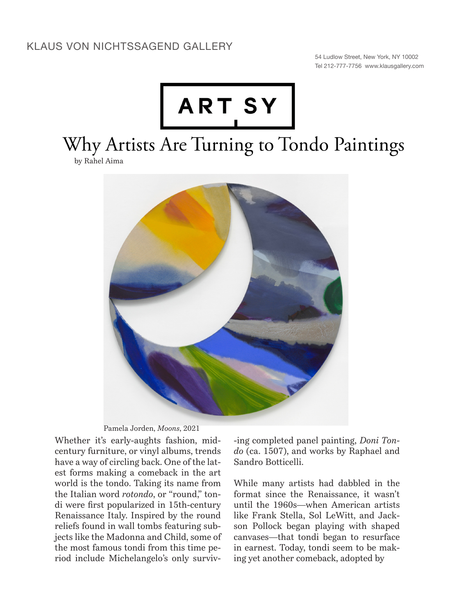## KLAUS VON NICHTSSAGEND GALLERY

54 Ludlow Street, New York, NY 10002 Tel 212-777-7756 www.klausgallery.com



Why Artists Are Turning to Tondo Paintings

by Rahel Aima



Pamela Jorden, *Moons*, 2021

Whether it's early-aughts fashion, midcentury furniture, or vinyl albums, trends have a way of circling back. One of the latest forms making a comeback in the art world is the tondo. Taking its name from the Italian word *rotondo*, or "round," tondi were first popularized in 15th-century Renaissance Italy. Inspired by the round reliefs found in wall tombs featuring subjects like the Madonna and Child, some of the most famous tondi from this time period include Michelangelo's only surviv-ing completed panel painting, *Doni Tondo* (ca. 1507), and works by Raphael and Sandro Botticelli.

While many artists had dabbled in the format since the Renaissance, it wasn't until the 1960s—when American artists like Frank Stella, Sol LeWitt, and Jackson Pollock began playing with shaped canvases—that tondi began to resurface in earnest. Today, tondi seem to be making yet another comeback, adopted by